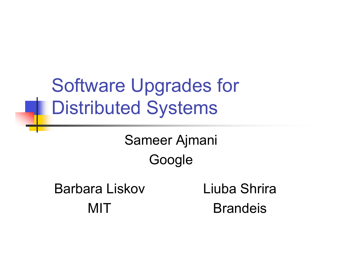Software Upgrades for Distributed Systems

> Sameer Ajmani Google

Barbara Liskov **MIT** Liuba Shrira Brandeis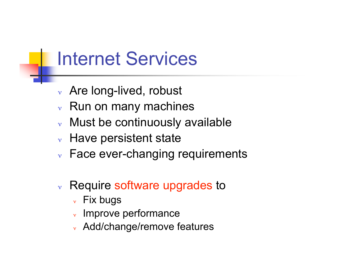### Internet Services

- <sup>ν</sup> Are long-lived, robust
- $\vee$  Run on many machines
- Must be continuously available
- $\vee$  Have persistent state
- $\vee$  Face ever-changing requirements
- <sup>ν</sup> Require software upgrades to
	- <sup>ν</sup> Fix bugs
	- <sup>ν</sup> Improve performance
	- <sup>ν</sup> Add/change/remove features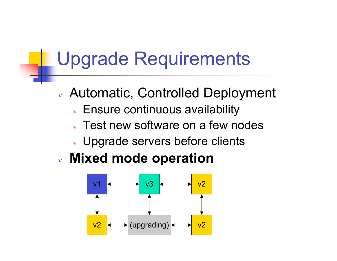## Upgrade Requirements

- <sup>ν</sup> Automatic, Controlled Deployment
	- <sup>ν</sup> Ensure continuous availability
	- $\vee$  Test new software on a few nodes
	- <sup>ν</sup> Upgrade servers before clients
- <sup>ν</sup> **Mixed mode operation**

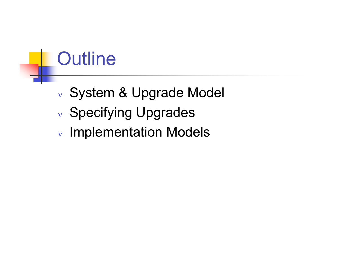## **Outline**

- <sup>ν</sup> System & Upgrade Model
- <sup>ν</sup> Specifying Upgrades
- <sup>ν</sup> Implementation Models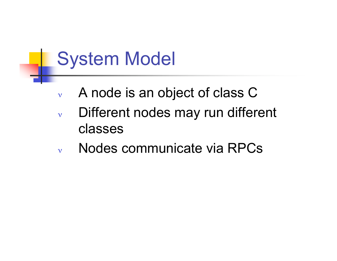## System Model

- $v$  A node is an object of class C
- <sup>ν</sup> Different nodes may run different classes
- <sup>ν</sup> Nodes communicate via RPCs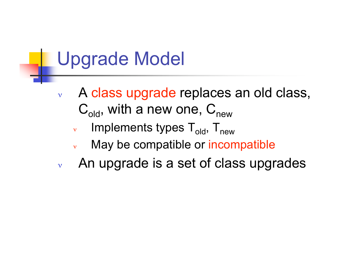## Upgrade Model

- <sup>ν</sup> A class upgrade replaces an old class,  $C_{old}$ , with a new one,  $C_{new}$ 
	- $ν$  Implements types  $T_{old}$ ,  $T_{new}$
	- May be compatible or incompatible
- $\mathbf v$  An upgrade is a set of class upgrades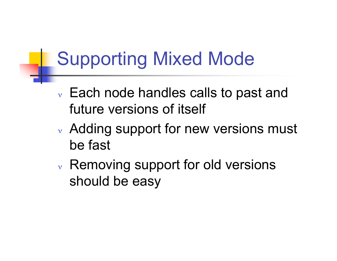## Supporting Mixed Mode

- <sup>ν</sup> Each node handles calls to past and future versions of itself
- <sup>ν</sup> Adding support for new versions must be fast
- <sup>ν</sup> Removing support for old versions should be easy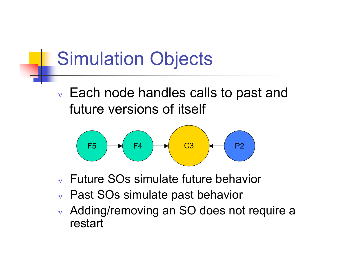## Simulation Objects

<sup>ν</sup> Each node handles calls to past and future versions of itself



- <sup>ν</sup> Future SOs simulate future behavior
- <sup>ν</sup> Past SOs simulate past behavior
- <sup>ν</sup> Adding/removing an SO does not require a restart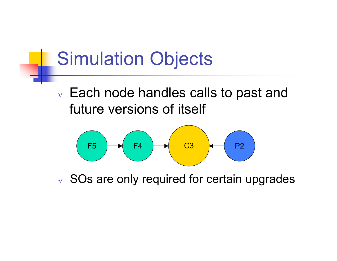

future versions of itself



<sup>ν</sup> SOs are only required for certain upgrades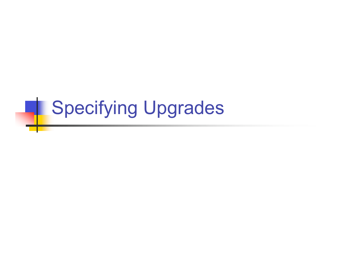# **Specifying Upgrades**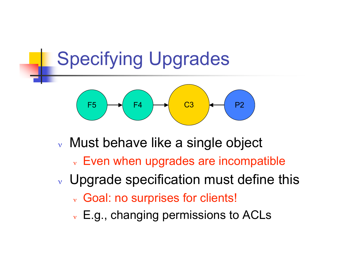## Specifying Upgrades



- <sup>ν</sup> Must behave like a single object
	- <sup>ν</sup> Even when upgrades are incompatible
- <sup>ν</sup> Upgrade specification must define this
	- <sup>ν</sup> Goal: no surprises for clients!
	- <sup>ν</sup> E.g., changing permissions to ACLs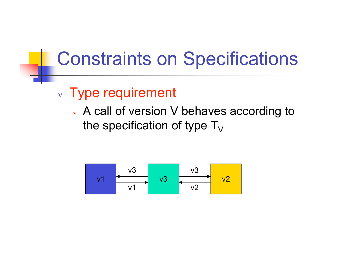#### Constraints on Specifications

#### <sup>ν</sup> Type requirement

<sup>ν</sup> A call of version V behaves according to the specification of type  $T_{V}$ 

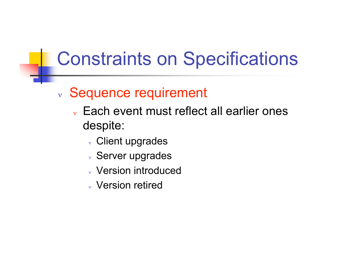## Constraints on Specifications

#### <sup>ν</sup> Sequence requirement

- <sup>ν</sup> Each event must reflect all earlier ones despite:
	- <sup>ν</sup> Client upgrades
	- <sup>ν</sup> Server upgrades
	- <sup>ν</sup> Version introduced
	- <sup>ν</sup> Version retired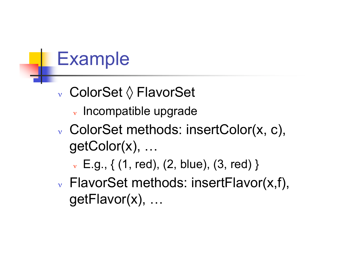## Example

- <sup>ν</sup> ColorSet ◊ FlavorSet
	- <sup>ν</sup> Incompatible upgrade
- <sup>ν</sup> ColorSet methods: insertColor(x, c), getColor(x), …
	- $\triangledown E.g., \{ (1, red), (2, blue), (3, red) \}$
- <sup>ν</sup> FlavorSet methods: insertFlavor(x,f), getFlavor(x), …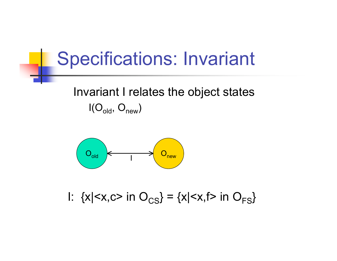#### Specifications: Invariant

#### Invariant I relates the object states  $I(O_{old}, O_{new})$



I:  $\{x|$  in  $O_{\text{CS}}\} = \{x|$  in  $O_{\text{FS}}\}$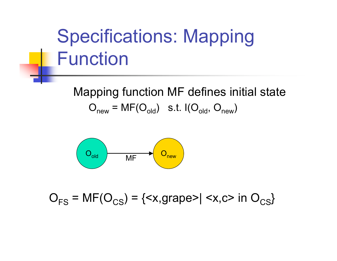# Specifications: Mapping Function

Mapping function MF defines initial state  $O_{new} = MF(O_{old})$  s.t.  $I(O_{old}, O_{new})$ 



 $O_{FS}$  = MF( $O_{CS}$ ) = {<x,grape>| <x,c> in  $O_{CS}$ }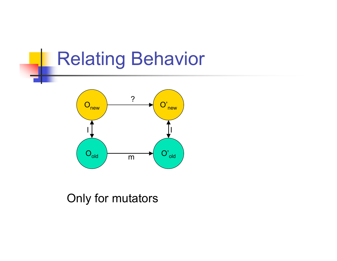## Relating Behavior



#### Only for mutators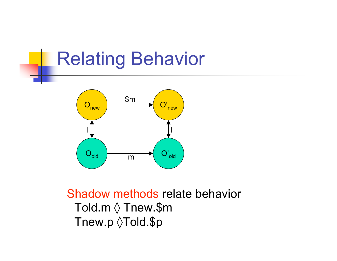## Relating Behavior



#### Shadow methods relate behavior Told.m ◊ Tnew.\$m Tnew.p  $\Diamond$ Told.\$p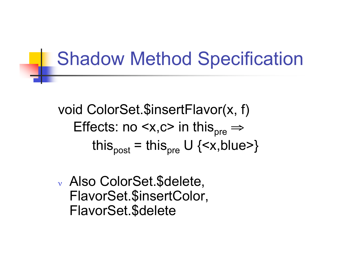#### Shadow Method Specification

void ColorSet.\$insertFlavor(x, f) Effects: no  $\langle x, c \rangle$  in this<sub>pre</sub>  $\Rightarrow$ this<sub>post</sub> = this<sub>pre</sub> U {<x,blue>}

<sup>ν</sup> Also ColorSet.\$delete, FlavorSet.\$insertColor, FlavorSet.\$delete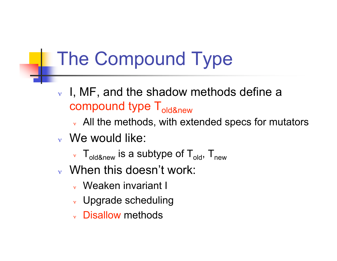## The Compound Type

- $v$  I, MF, and the shadow methods define a compound type T<sub>old&new</sub>
	- $\vee$  All the methods, with extended specs for mutators
- <sup>ν</sup> We would like:
	- $v \cdot T_{oldRnew}$  is a subtype of  $T_{old}$ ,  $T_{new}$
- <sup>ν</sup> When this doesn't work:
	- <sup>ν</sup> Weaken invariant I
	- <sup>ν</sup> Upgrade scheduling
	- <sup>ν</sup> Disallow methods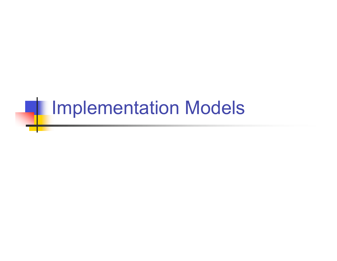# **Inplementation Models**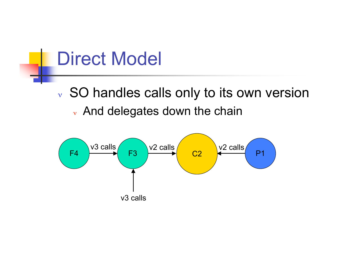#### Direct Model

<sup>ν</sup> SO handles calls only to its own version <sup>ν</sup> And delegates down the chain

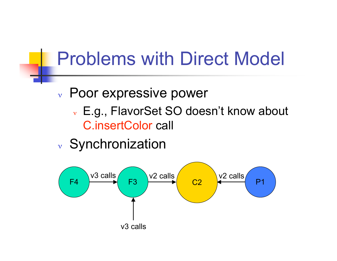## Problems with Direct Model

- <sup>ν</sup> Poor expressive power
	- <sup>ν</sup> E.g., FlavorSet SO doesn't know about C.insertColor call
- <sup>ν</sup> Synchronization

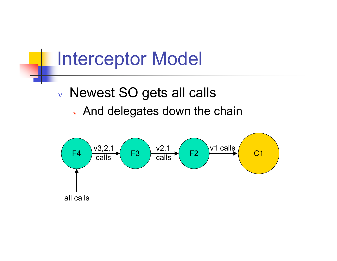#### Interceptor Model

#### <sup>ν</sup> Newest SO gets all calls <sup>ν</sup> And delegates down the chain

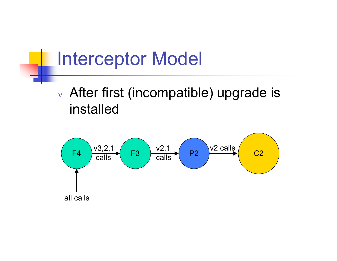#### Interceptor Model

#### <sup>ν</sup> After first (incompatible) upgrade is installed

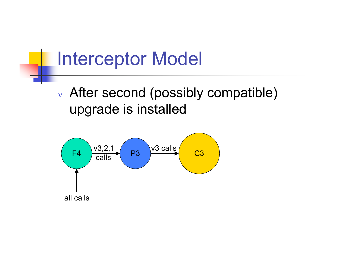#### Interceptor Model

#### <sup>ν</sup> After second (possibly compatible) upgrade is installed

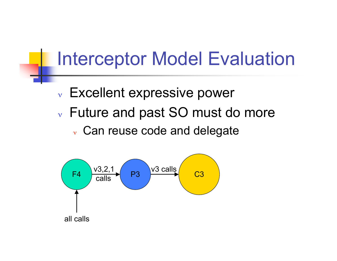#### Interceptor Model Evaluation

- <sup>ν</sup> Excellent expressive power
- <sup>ν</sup> Future and past SO must do more
	- <sup>ν</sup> Can reuse code and delegate

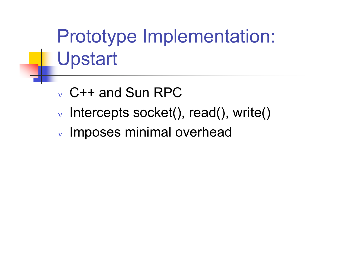Prototype Implementation: Upstart

- <sup>ν</sup> C++ and Sun RPC
- <sup>ν</sup> Intercepts socket(), read(), write()
- <sup>ν</sup> Imposes minimal overhead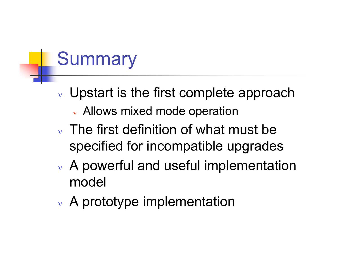# **Summary**

- $\vee$  Upstart is the first complete approach <sup>ν</sup> Allows mixed mode operation
- <sup>ν</sup> The first definition of what must be specified for incompatible upgrades
- <sup>ν</sup> A powerful and useful implementation model
- <sup>ν</sup> A prototype implementation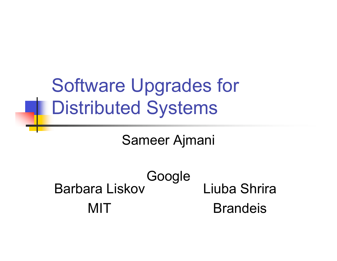Software Upgrades for Distributed Systems

Sameer Ajmani

Google Barbara Liskov **MIT** Liuba Shrira Brandeis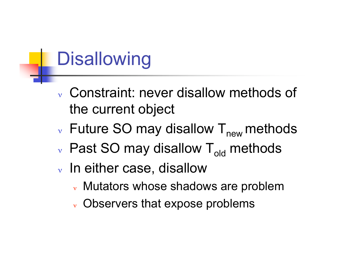# **Disallowing**

- <sup>ν</sup> Constraint: never disallow methods of the current object
- $v$  Future SO may disallow  $T_{new}$  methods
- $\vee$  Past SO may disallow T<sub>old</sub> methods
- <sup>ν</sup> In either case, disallow
	- <sup>ν</sup> Mutators whose shadows are problem
	- <sup>ν</sup> Observers that expose problems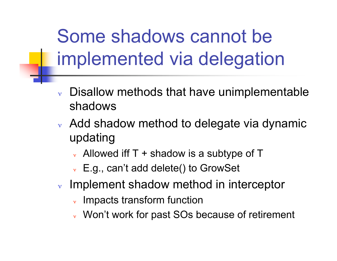Some shadows cannot be implemented via delegation

- Disallow methods that have unimplementable shadows
- <sup>ν</sup> Add shadow method to delegate via dynamic updating
	- $\vee$  Allowed iff T + shadow is a subtype of T
	- <sup>ν</sup> E.g., can't add delete() to GrowSet
- <sup>ν</sup> Implement shadow method in interceptor
	- Impacts transform function
	- <sup>ν</sup> Won't work for past SOs because of retirement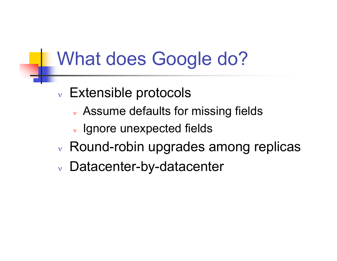## What does Google do?

- <sup>ν</sup> Extensible protocols
	- <sup>ν</sup> Assume defaults for missing fields
	- <sup>ν</sup> Ignore unexpected fields
- <sup>ν</sup> Round-robin upgrades among replicas
- <sup>ν</sup> Datacenter-by-datacenter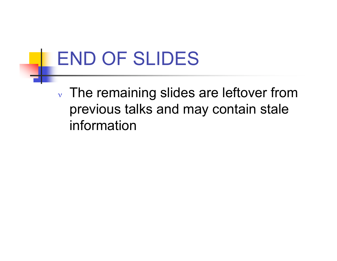## END OF SLIDES

<sup>ν</sup> The remaining slides are leftover from previous talks and may contain stale information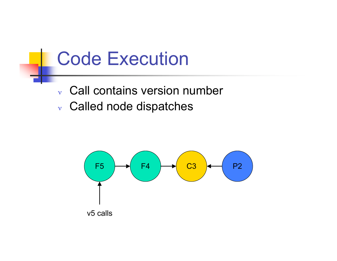#### Code Execution

#### <sup>ν</sup> Call contains version number

<sup>ν</sup> Called node dispatches

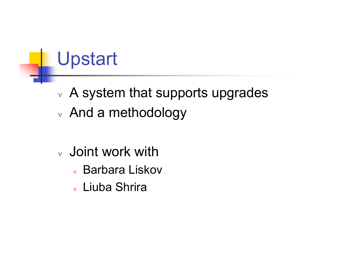# Upstart

- <sup>ν</sup> A system that supports upgrades
- <sup>ν</sup> And a methodology
- <sup>ν</sup> Joint work with
	- <sup>ν</sup> Barbara Liskov
	- <sup>ν</sup> Liuba Shrira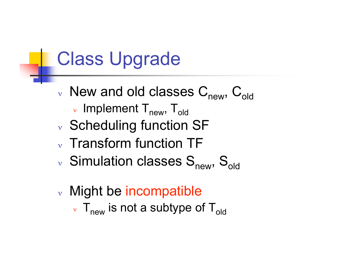#### Class Upgrade

- $v$  New and old classes  $C_{new}$ ,  $C_{old}$  $_{v}$  Implement  $T_{new}$ ,  $T_{old}$
- <sup>ν</sup> Scheduling function SF
- <sup>ν</sup> Transform function TF
- $v$  Simulation classes  $S_{new}$ ,  $S_{old}$
- <sup>ν</sup> Might be incompatible  $v \mathsf{T}_{\text{new}}$  is not a subtype of  $\mathsf{T}_{\text{old}}$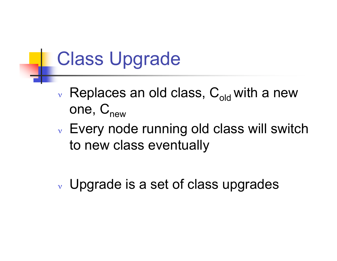### Class Upgrade

- $\vee$  Replaces an old class,  $C_{old}$  with a new one,  $C_{new}$
- $\vee$  Every node running old class will switch to new class eventually
- <sup>ν</sup> Upgrade is a set of class upgrades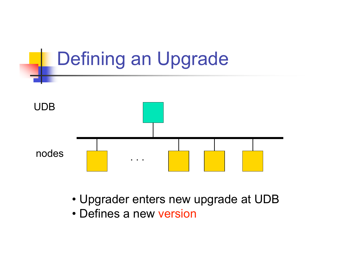

- Upgrader enters new upgrade at UDB
- Defines a new version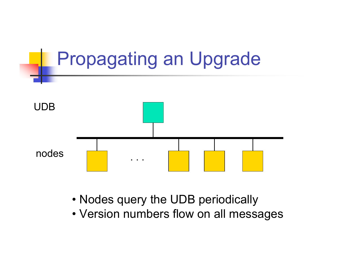

- Nodes query the UDB periodically
- Version numbers flow on all messages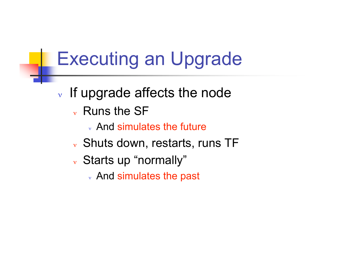## Executing an Upgrade

- $\vee$  If upgrade affects the node
	- <sup>ν</sup> Runs the SF
		- <sup>ν</sup> And simulates the future
	- <sup>ν</sup> Shuts down, restarts, runs TF
	- <sup>ν</sup> Starts up "normally"
		- <sup>ν</sup> And simulates the past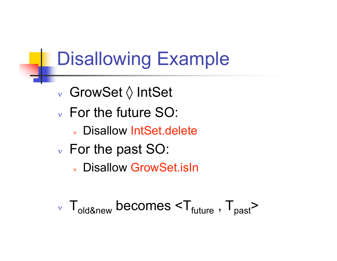## Disallowing Example

- <sup>ν</sup> GrowSet ◊ IntSet
- <sup>ν</sup> For the future SO:
	- <sup>ν</sup> Disallow IntSet.delete
- <sup>ν</sup> For the past SO:
	- <sup>ν</sup> Disallow GrowSet.isIn
- $v \tT_{old\&new}$  becomes  $< T_{future}$ ,  $T_{past}$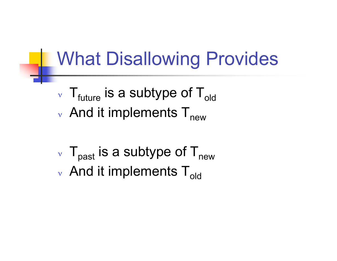## What Disallowing Provides

- $\vee$  T<sub>future</sub> is a subtype of T<sub>old</sub>
- $_{v}$  And it implements  $T_{\text{new}}$
- $\rm v$  T<sub>past</sub> is a subtype of T<sub>new</sub>
- $_{\rm v}$  And it implements T<sub>old</sub>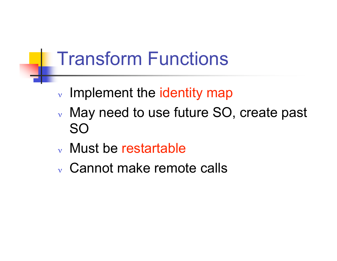## Transform Functions

- <sup>ν</sup> Implement the identity map
- <sup>ν</sup> May need to use future SO, create past SO
- <sup>ν</sup> Must be restartable
- <sup>ν</sup> Cannot make remote calls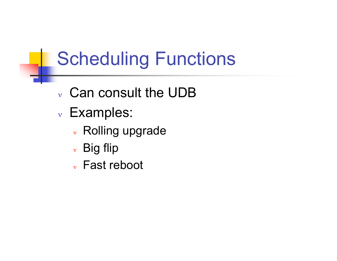# Scheduling Functions

- <sup>ν</sup> Can consult the UDB
- <sup>ν</sup> Examples:
	- <sup>ν</sup> Rolling upgrade
	- <sup>ν</sup> Big flip
	- <sup>ν</sup> Fast reboot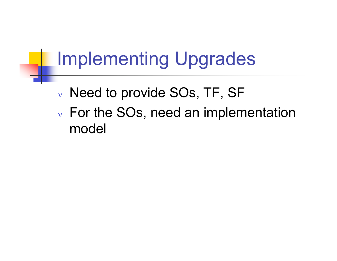## Implementing Upgrades

- <sup>ν</sup> Need to provide SOs, TF, SF
- <sup>ν</sup> For the SOs, need an implementation model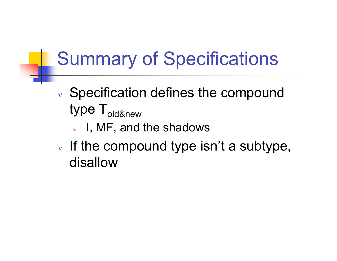# Summary of Specifications

- <sup>ν</sup> Specification defines the compound type T<sub>old&new</sub>
	- <sup>ν</sup> I, MF, and the shadows
- $\nu$  If the compound type isn't a subtype, disallow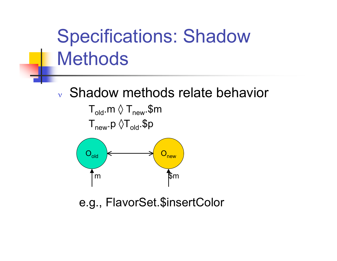# Specifications: Shadow **Methods**

#### <sup>ν</sup> Shadow methods relate behavior



e.g., FlavorSet.\$insertColor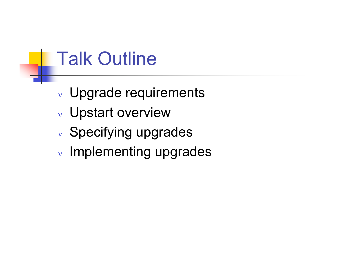## Talk Outline

- <sup>ν</sup> Upgrade requirements
- <sup>ν</sup> Upstart overview
- <sup>ν</sup> Specifying upgrades
- <sup>ν</sup> Implementing upgrades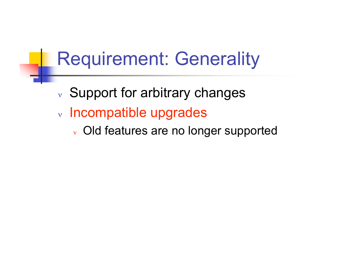## Requirement: Generality

- <sup>ν</sup> Support for arbitrary changes
- <sup>ν</sup> Incompatible upgrades
	- <sup>ν</sup> Old features are no longer supported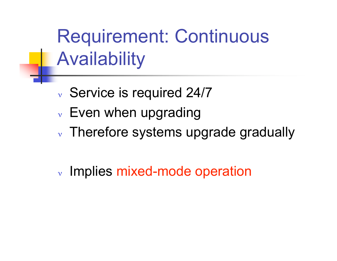Requirement: Continuous Availability

- <sup>ν</sup> Service is required 24/7
- $\vee$  Even when upgrading
- <sup>ν</sup> Therefore systems upgrade gradually
- <sup>ν</sup> Implies mixed-mode operation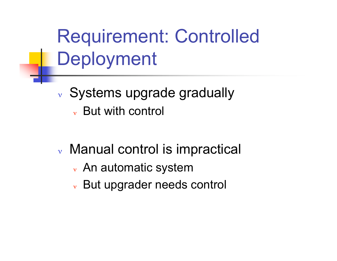Requirement: Controlled Deployment

- <sup>ν</sup> Systems upgrade gradually <sup>ν</sup> But with control
- <sup>ν</sup> Manual control is impractical
	- <sup>ν</sup> An automatic system
	- <sup>ν</sup> But upgrader needs control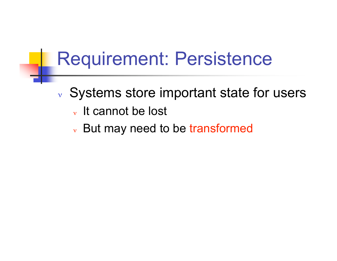### Requirement: Persistence

- <sup>ν</sup> Systems store important state for users
	- <sup>ν</sup> It cannot be lost
	- <sup>ν</sup> But may need to be transformed